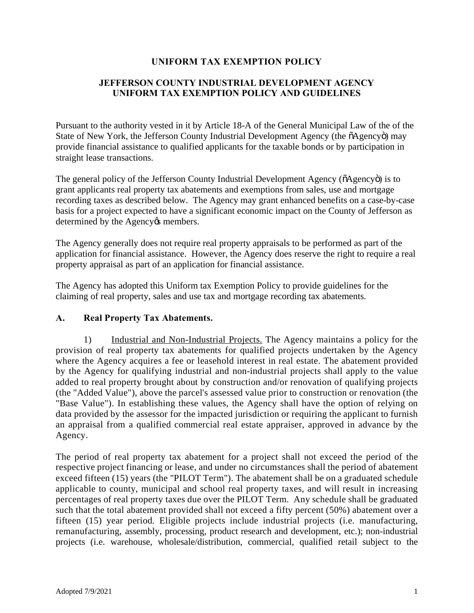# **UNIFORM TAX EXEMPTION POLICY**

# **JEFFERSON COUNTY INDUSTRIAL DEVELOPMENT AGENCY UNIFORM TAX EXEMPTION POLICY AND GUIDELINES**

Pursuant to the authority vested in it by Article 18-A of the General Municipal Law of the of the State of New York, the Jefferson County Industrial Development Agency (the  $\tilde{o}$ Agency $\tilde{o}$ ) may provide financial assistance to qualified applicants for the taxable bonds or by participation in straight lease transactions.

The general policy of the Jefferson County Industrial Development Agency ( $\delta$ Agency $\delta$ ) is to grant applicants real property tax abatements and exemptions from sales, use and mortgage recording taxes as described below. The Agency may grant enhanced benefits on a case-by-case basis for a project expected to have a significant economic impact on the County of Jefferson as determined by the Agency & members.

The Agency generally does not require real property appraisals to be performed as part of the application for financial assistance. However, the Agency does reserve the right to require a real property appraisal as part of an application for financial assistance.

The Agency has adopted this Uniform tax Exemption Policy to provide guidelines for the claiming of real property, sales and use tax and mortgage recording tax abatements.

### **A. Real Property Tax Abatements.**

1) Industrial and Non-Industrial Projects. The Agency maintains a policy for the provision of real property tax abatements for qualified projects undertaken by the Agency where the Agency acquires a fee or leasehold interest in real estate. The abatement provided by the Agency for qualifying industrial and non-industrial projects shall apply to the value added to real property brought about by construction and/or renovation of qualifying projects (the "Added Value"), above the parcel's assessed value prior to construction or renovation (the "Base Value"). In establishing these values, the Agency shall have the option of relying on data provided by the assessor for the impacted jurisdiction or requiring the applicant to furnish an appraisal from a qualified commercial real estate appraiser, approved in advance by the Agency.

The period of real property tax abatement for a project shall not exceed the period of the respective project financing or lease, and under no circumstances shall the period of abatement exceed fifteen (15) years (the "PILOT Term"). The abatement shall be on a graduated schedule applicable to county, municipal and school real property taxes, and will result in increasing percentages of real property taxes due over the PILOT Term. Any schedule shall be graduated such that the total abatement provided shall not exceed a fifty percent (50%) abatement over a fifteen (15) year period. Eligible projects include industrial projects (i.e. manufacturing, remanufacturing, assembly, processing, product research and development, etc.); non-industrial projects (i.e. warehouse, wholesale/distribution, commercial, qualified retail subject to the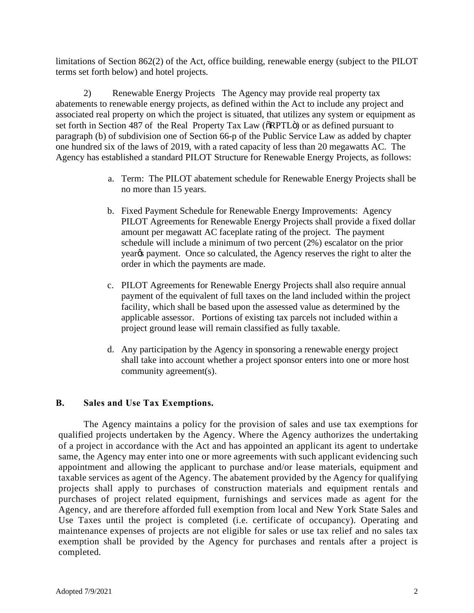limitations of Section 862(2) of the Act, office building, renewable energy (subject to the PILOT terms set forth below) and hotel projects.

2) Renewable Energy Projects The Agency may provide real property tax abatements to renewable energy projects, as defined within the Act to include any project and associated real property on which the project is situated, that utilizes any system or equipment as set forth in Section 487 of the Real Property Tax Law ( $\delta$ RPTL $\ddot{\rm o}$ ) or as defined pursuant to paragraph (b) of subdivision one of Section 66-p of the Public Service Law as added by chapter one hundred six of the laws of 2019, with a rated capacity of less than 20 megawatts AC. The Agency has established a standard PILOT Structure for Renewable Energy Projects, as follows:

- a. Term: The PILOT abatement schedule for Renewable Energy Projects shall be no more than 15 years.
- b. Fixed Payment Schedule for Renewable Energy Improvements: Agency PILOT Agreements for Renewable Energy Projects shall provide a fixed dollar amount per megawatt AC faceplate rating of the project. The payment schedule will include a minimum of two percent (2%) escalator on the prior year<sub>%</sub> payment. Once so calculated, the Agency reserves the right to alter the order in which the payments are made.
- c. PILOT Agreements for Renewable Energy Projects shall also require annual payment of the equivalent of full taxes on the land included within the project facility, which shall be based upon the assessed value as determined by the applicable assessor. Portions of existing tax parcels not included within a project ground lease will remain classified as fully taxable.
- d. Any participation by the Agency in sponsoring a renewable energy project shall take into account whether a project sponsor enters into one or more host community agreement(s).

### **B. Sales and Use Tax Exemptions.**

The Agency maintains a policy for the provision of sales and use tax exemptions for qualified projects undertaken by the Agency. Where the Agency authorizes the undertaking of a project in accordance with the Act and has appointed an applicant its agent to undertake same, the Agency may enter into one or more agreements with such applicant evidencing such appointment and allowing the applicant to purchase and/or lease materials, equipment and taxable services as agent of the Agency. The abatement provided by the Agency for qualifying projects shall apply to purchases of construction materials and equipment rentals and purchases of project related equipment, furnishings and services made as agent for the Agency, and are therefore afforded full exemption from local and New York State Sales and Use Taxes until the project is completed (i.e. certificate of occupancy). Operating and maintenance expenses of projects are not eligible for sales or use tax relief and no sales tax exemption shall be provided by the Agency for purchases and rentals after a project is completed.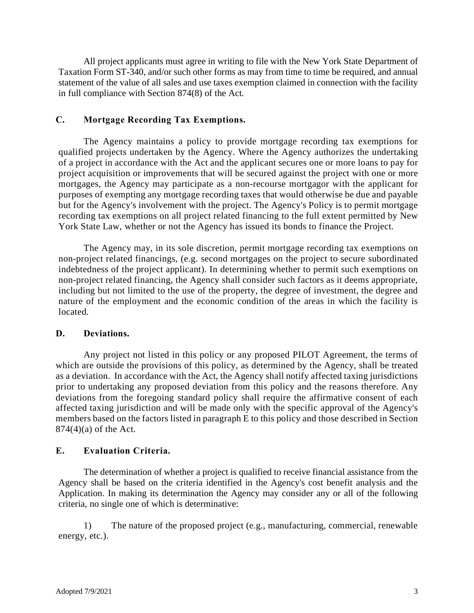All project applicants must agree in writing to file with the New York State Department of Taxation Form ST-340, and/or such other forms as may from time to time be required, and annual statement of the value of all sales and use taxes exemption claimed in connection with the facility in full compliance with Section 874(8) of the Act.

## **C. Mortgage Recording Tax Exemptions.**

The Agency maintains a policy to provide mortgage recording tax exemptions for qualified projects undertaken by the Agency. Where the Agency authorizes the undertaking of a project in accordance with the Act and the applicant secures one or more loans to pay for project acquisition or improvements that will be secured against the project with one or more mortgages, the Agency may participate as a non-recourse mortgagor with the applicant for purposes of exempting any mortgage recording taxes that would otherwise be due and payable but for the Agency's involvement with the project. The Agency's Policy is to permit mortgage recording tax exemptions on all project related financing to the full extent permitted by New York State Law, whether or not the Agency has issued its bonds to finance the Project.

The Agency may, in its sole discretion, permit mortgage recording tax exemptions on non-project related financings, (e.g. second mortgages on the project to secure subordinated indebtedness of the project applicant). In determining whether to permit such exemptions on non-project related financing, the Agency shall consider such factors as it deems appropriate, including but not limited to the use of the property, the degree of investment, the degree and nature of the employment and the economic condition of the areas in which the facility is located.

## **D. Deviations.**

Any project not listed in this policy or any proposed PILOT Agreement, the terms of which are outside the provisions of this policy, as determined by the Agency, shall be treated as a deviation. In accordance with the Act, the Agency shall notify affected taxing jurisdictions prior to undertaking any proposed deviation from this policy and the reasons therefore. Any deviations from the foregoing standard policy shall require the affirmative consent of each affected taxing jurisdiction and will be made only with the specific approval of the Agency's members based on the factors listed in paragraph E to this policy and those described in Section  $874(4)(a)$  of the Act.

# **E. Evaluation Criteria.**

The determination of whether a project is qualified to receive financial assistance from the Agency shall be based on the criteria identified in the Agency's cost benefit analysis and the Application. In making its determination the Agency may consider any or all of the following criteria, no single one of which is determinative:

1) The nature of the proposed project (e.g., manufacturing, commercial, renewable energy, etc.).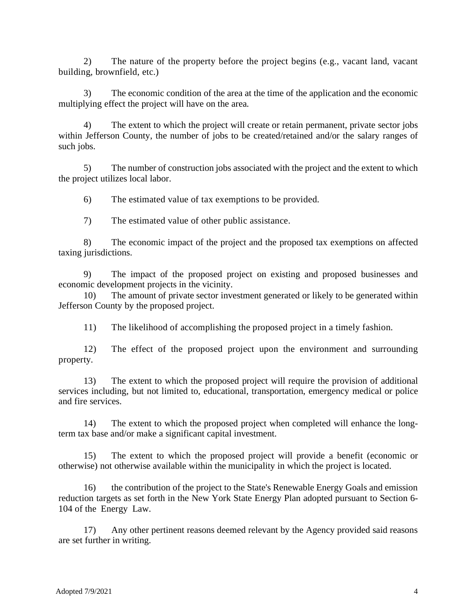2) The nature of the property before the project begins (e.g., vacant land, vacant building, brownfield, etc.)

3) The economic condition of the area at the time of the application and the economic multiplying effect the project will have on the area.

4) The extent to which the project will create or retain permanent, private sector jobs within Jefferson County, the number of jobs to be created/retained and/or the salary ranges of such jobs.

5) The number of construction jobs associated with the project and the extent to which the project utilizes local labor.

6) The estimated value of tax exemptions to be provided.

7) The estimated value of other public assistance.

8) The economic impact of the project and the proposed tax exemptions on affected taxing jurisdictions.

9) The impact of the proposed project on existing and proposed businesses and economic development projects in the vicinity.

10) The amount of private sector investment generated or likely to be generated within Jefferson County by the proposed project.

11) The likelihood of accomplishing the proposed project in a timely fashion.

12) The effect of the proposed project upon the environment and surrounding property.

13) The extent to which the proposed project will require the provision of additional services including, but not limited to, educational, transportation, emergency medical or police and fire services.

14) The extent to which the proposed project when completed will enhance the longterm tax base and/or make a significant capital investment.

The extent to which the proposed project will provide a benefit (economic or otherwise) not otherwise available within the municipality in which the project is located.

16) the contribution of the project to the State's Renewable Energy Goals and emission reduction targets as set forth in the New York State Energy Plan adopted pursuant to Section 6- 104 of the Energy Law.

17) Any other pertinent reasons deemed relevant by the Agency provided said reasons are set further in writing.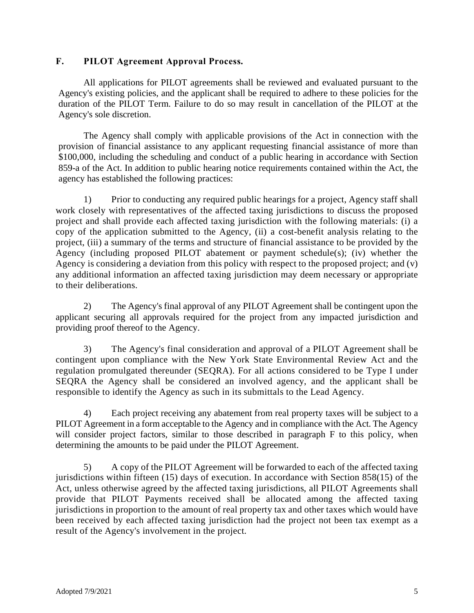# **F. PILOT Agreement Approval Process.**

All applications for PILOT agreements shall be reviewed and evaluated pursuant to the Agency's existing policies, and the applicant shall be required to adhere to these policies for the duration of the PILOT Term. Failure to do so may result in cancellation of the PILOT at the Agency's sole discretion.

The Agency shall comply with applicable provisions of the Act in connection with the provision of financial assistance to any applicant requesting financial assistance of more than \$100,000, including the scheduling and conduct of a public hearing in accordance with Section 859-a of the Act. In addition to public hearing notice requirements contained within the Act, the agency has established the following practices:

1) Prior to conducting any required public hearings for a project, Agency staff shall work closely with representatives of the affected taxing jurisdictions to discuss the proposed project and shall provide each affected taxing jurisdiction with the following materials: (i) a copy of the application submitted to the Agency, (ii) a cost-benefit analysis relating to the project, (iii) a summary of the terms and structure of financial assistance to be provided by the Agency (including proposed PILOT abatement or payment schedule(s); (iv) whether the Agency is considering a deviation from this policy with respect to the proposed project; and (v) any additional information an affected taxing jurisdiction may deem necessary or appropriate to their deliberations.

2) The Agency's final approval of any PILOT Agreement shall be contingent upon the applicant securing all approvals required for the project from any impacted jurisdiction and providing proof thereof to the Agency.

3) The Agency's final consideration and approval of a PILOT Agreement shall be contingent upon compliance with the New York State Environmental Review Act and the regulation promulgated thereunder (SEQRA). For all actions considered to be Type I under SEQRA the Agency shall be considered an involved agency, and the applicant shall be responsible to identify the Agency as such in its submittals to the Lead Agency.

4) Each project receiving any abatement from real property taxes will be subject to a PILOT Agreement in a form acceptable to the Agency and in compliance with the Act. The Agency will consider project factors, similar to those described in paragraph F to this policy, when determining the amounts to be paid under the PILOT Agreement.

5) A copy of the PILOT Agreement will be forwarded to each of the affected taxing jurisdictions within fifteen (15) days of execution. In accordance with Section 858(15) of the Act, unless otherwise agreed by the affected taxing jurisdictions, all PILOT Agreements shall provide that PILOT Payments received shall be allocated among the affected taxing jurisdictions in proportion to the amount of real property tax and other taxes which would have been received by each affected taxing jurisdiction had the project not been tax exempt as a result of the Agency's involvement in the project.